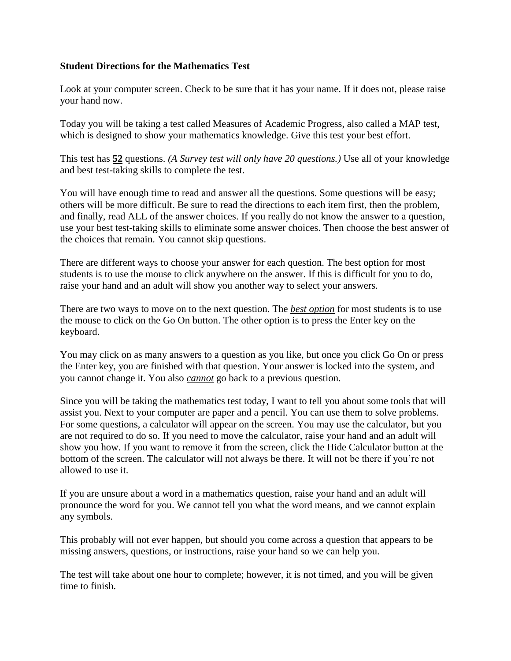## **Student Directions for the Mathematics Test**

Look at your computer screen. Check to be sure that it has your name. If it does not, please raise your hand now.

Today you will be taking a test called Measures of Academic Progress, also called a MAP test, which is designed to show your mathematics knowledge. Give this test your best effort.

This test has **52** questions. *(A Survey test will only have 20 questions.)* Use all of your knowledge and best test-taking skills to complete the test.

You will have enough time to read and answer all the questions. Some questions will be easy; others will be more difficult. Be sure to read the directions to each item first, then the problem, and finally, read ALL of the answer choices. If you really do not know the answer to a question, use your best test-taking skills to eliminate some answer choices. Then choose the best answer of the choices that remain. You cannot skip questions.

There are different ways to choose your answer for each question. The best option for most students is to use the mouse to click anywhere on the answer. If this is difficult for you to do, raise your hand and an adult will show you another way to select your answers.

There are two ways to move on to the next question. The *best option* for most students is to use the mouse to click on the Go On button. The other option is to press the Enter key on the keyboard.

You may click on as many answers to a question as you like, but once you click Go On or press the Enter key, you are finished with that question. Your answer is locked into the system, and you cannot change it. You also *cannot* go back to a previous question.

Since you will be taking the mathematics test today, I want to tell you about some tools that will assist you. Next to your computer are paper and a pencil. You can use them to solve problems. For some questions, a calculator will appear on the screen. You may use the calculator, but you are not required to do so. If you need to move the calculator, raise your hand and an adult will show you how. If you want to remove it from the screen, click the Hide Calculator button at the bottom of the screen. The calculator will not always be there. It will not be there if you're not allowed to use it.

If you are unsure about a word in a mathematics question, raise your hand and an adult will pronounce the word for you. We cannot tell you what the word means, and we cannot explain any symbols.

This probably will not ever happen, but should you come across a question that appears to be missing answers, questions, or instructions, raise your hand so we can help you.

The test will take about one hour to complete; however, it is not timed, and you will be given time to finish.